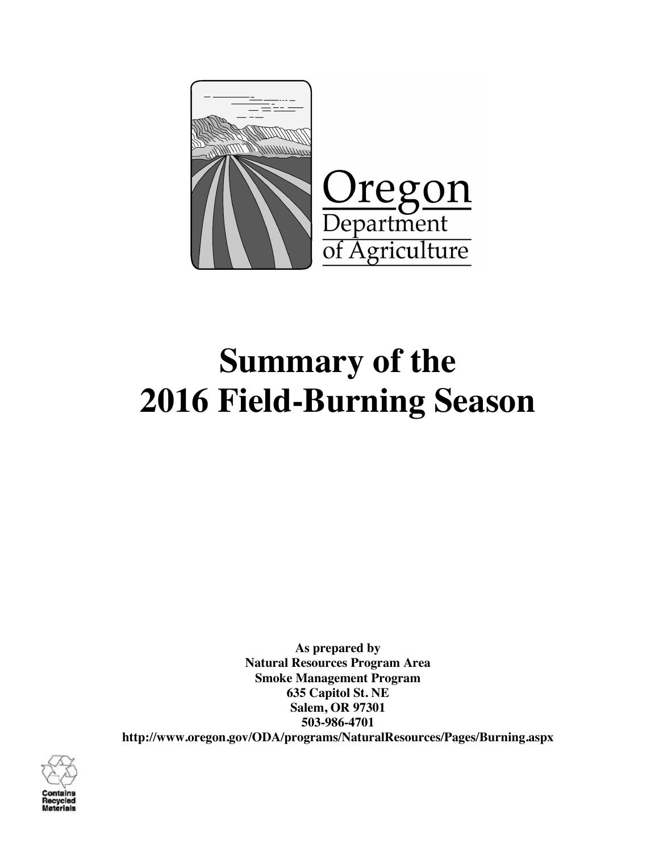

# **Summary of the 2016 Field-Burning Season**

**As prepared by Natural Resources Program Area Smoke Management Program 635 Capitol St. NE Salem, OR 97301 503-986-4701 http://www.oregon.gov/ODA/programs/NaturalResources/Pages/Burning.aspx**

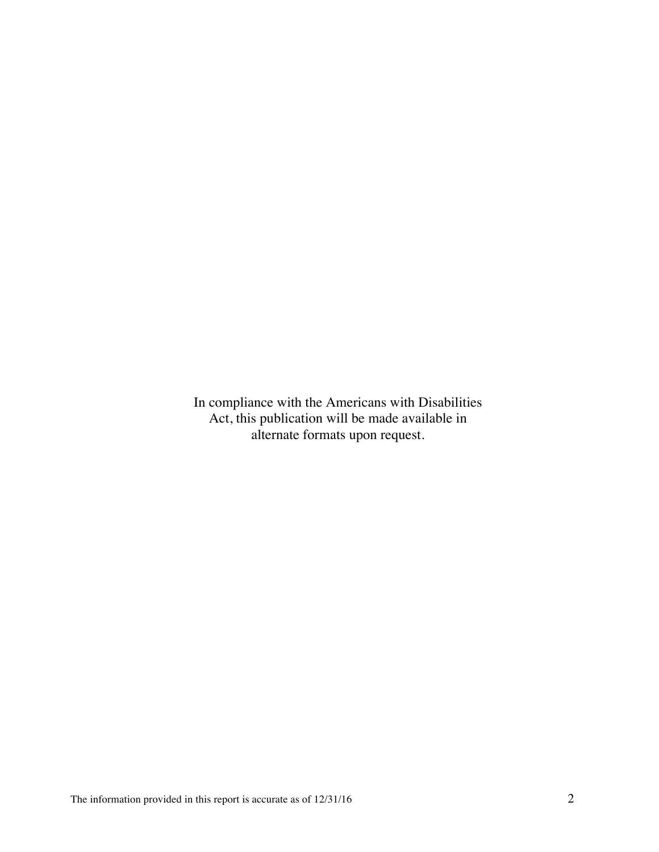In compliance with the Americans with Disabilities Act, this publication will be made available in alternate formats upon request.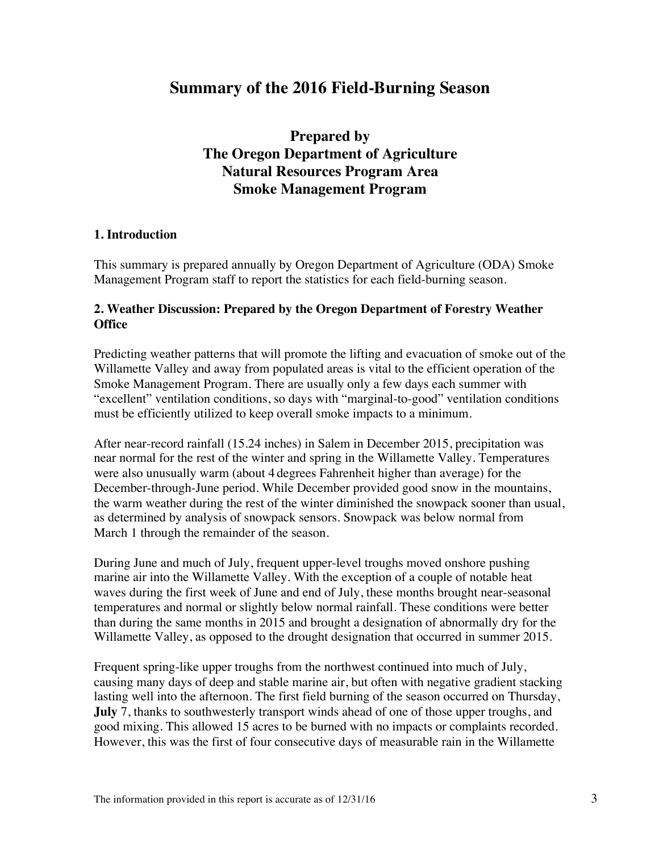## **Summary of the 2016 Field-Burning Season**

**Prepared by The Oregon Department of Agriculture Natural Resources Program Area Smoke Management Program**

#### **1. Introduction**

This summary is prepared annually by Oregon Department of Agriculture (ODA) Smoke Management Program staff to report the statistics for each field-burning season.

#### **2. Weather Discussion: Prepared by the Oregon Department of Forestry Weather Office**

Predicting weather patterns that will promote the lifting and evacuation of smoke out of the Willamette Valley and away from populated areas is vital to the efficient operation of the Smoke Management Program. There are usually only a few days each summer with "excellent" ventilation conditions, so days with "marginal-to-good" ventilation conditions must be efficiently utilized to keep overall smoke impacts to a minimum.

After near-record rainfall (15.24 inches) in Salem in December 2015, precipitation was near normal for the rest of the winter and spring in the Willamette Valley. Temperatures were also unusually warm (about 4 degrees Fahrenheit higher than average) for the December-through-June period. While December provided good snow in the mountains, the warm weather during the rest of the winter diminished the snowpack sooner than usual, as determined by analysis of snowpack sensors. Snowpack was below normal from March 1 through the remainder of the season.

During June and much of July, frequent upper-level troughs moved onshore pushing marine air into the Willamette Valley. With the exception of a couple of notable heat waves during the first week of June and end of July, these months brought near-seasonal temperatures and normal or slightly below normal rainfall. These conditions were better than during the same months in 2015 and brought a designation of abnormally dry for the Willamette Valley, as opposed to the drought designation that occurred in summer 2015.

Frequent spring-like upper troughs from the northwest continued into much of July, causing many days of deep and stable marine air, but often with negative gradient stacking lasting well into the afternoon. The first field burning of the season occurred on Thursday, **July** 7, thanks to southwesterly transport winds ahead of one of those upper troughs, and good mixing. This allowed 15 acres to be burned with no impacts or complaints recorded. However, this was the first of four consecutive days of measurable rain in the Willamette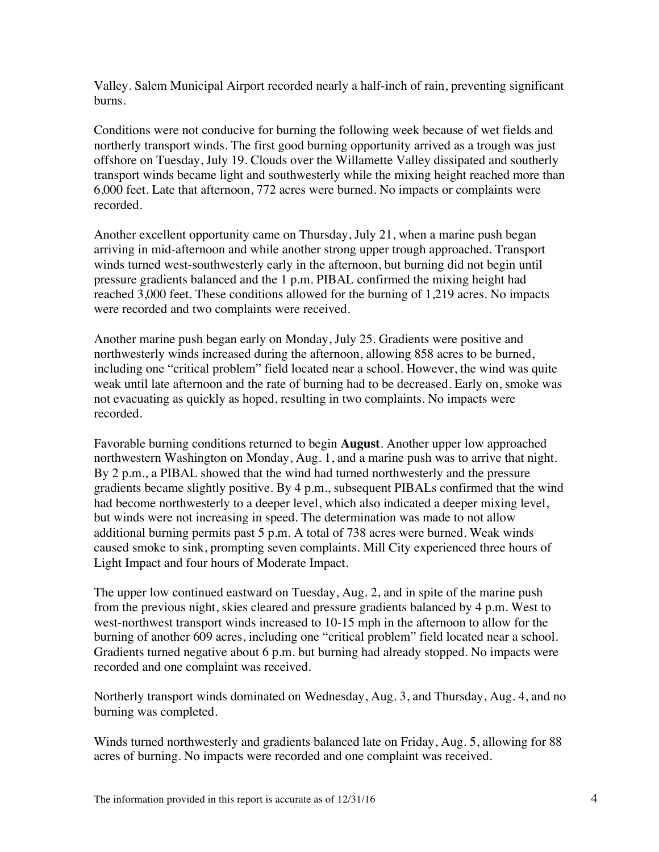Valley. Salem Municipal Airport recorded nearly a half-inch of rain, preventing significant burns.

Conditions were not conducive for burning the following week because of wet fields and northerly transport winds. The first good burning opportunity arrived as a trough was just offshore on Tuesday, July 19. Clouds over the Willamette Valley dissipated and southerly transport winds became light and southwesterly while the mixing height reached more than 6,000 feet. Late that afternoon, 772 acres were burned. No impacts or complaints were recorded.

Another excellent opportunity came on Thursday, July 21, when a marine push began arriving in mid-afternoon and while another strong upper trough approached. Transport winds turned west-southwesterly early in the afternoon, but burning did not begin until pressure gradients balanced and the 1 p.m. PIBAL confirmed the mixing height had reached 3,000 feet. These conditions allowed for the burning of 1,219 acres. No impacts were recorded and two complaints were received.

Another marine push began early on Monday, July 25. Gradients were positive and northwesterly winds increased during the afternoon, allowing 858 acres to be burned, including one "critical problem" field located near a school. However, the wind was quite weak until late afternoon and the rate of burning had to be decreased. Early on, smoke was not evacuating as quickly as hoped, resulting in two complaints. No impacts were recorded.

Favorable burning conditions returned to begin **August**. Another upper low approached northwestern Washington on Monday, Aug. 1, and a marine push was to arrive that night. By 2 p.m., a PIBAL showed that the wind had turned northwesterly and the pressure gradients became slightly positive. By 4 p.m., subsequent PIBALs confirmed that the wind had become northwesterly to a deeper level, which also indicated a deeper mixing level, but winds were not increasing in speed. The determination was made to not allow additional burning permits past 5 p.m. A total of 738 acres were burned. Weak winds caused smoke to sink, prompting seven complaints. Mill City experienced three hours of Light Impact and four hours of Moderate Impact.

The upper low continued eastward on Tuesday, Aug. 2, and in spite of the marine push from the previous night, skies cleared and pressure gradients balanced by 4 p.m. West to west-northwest transport winds increased to 10-15 mph in the afternoon to allow for the burning of another 609 acres, including one "critical problem" field located near a school. Gradients turned negative about 6 p.m. but burning had already stopped. No impacts were recorded and one complaint was received.

Northerly transport winds dominated on Wednesday, Aug. 3, and Thursday, Aug. 4, and no burning was completed.

Winds turned northwesterly and gradients balanced late on Friday, Aug. 5, allowing for 88 acres of burning. No impacts were recorded and one complaint was received.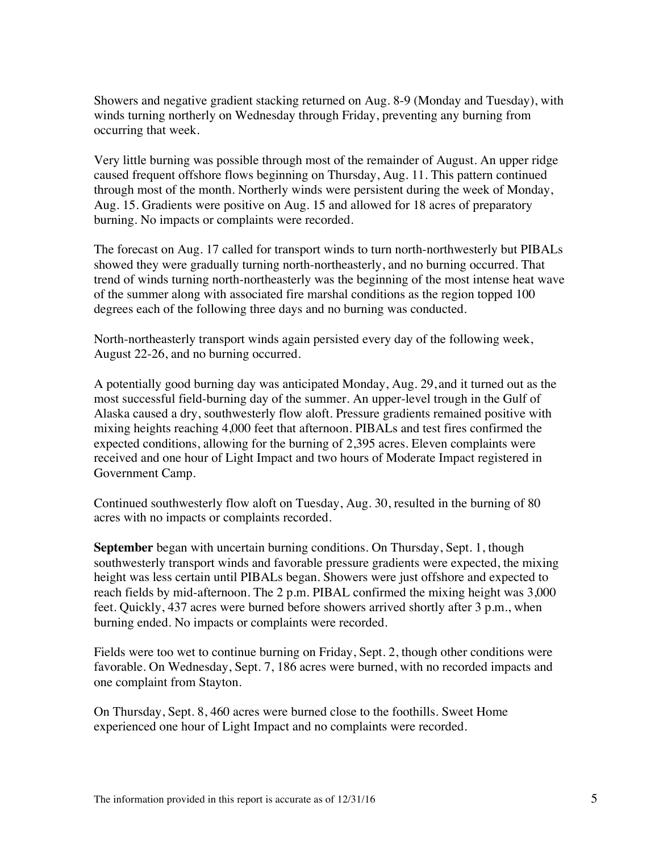Showers and negative gradient stacking returned on Aug. 8-9 (Monday and Tuesday), with winds turning northerly on Wednesday through Friday, preventing any burning from occurring that week.

Very little burning was possible through most of the remainder of August. An upper ridge caused frequent offshore flows beginning on Thursday, Aug. 11. This pattern continued through most of the month. Northerly winds were persistent during the week of Monday, Aug. 15. Gradients were positive on Aug. 15 and allowed for 18 acres of preparatory burning. No impacts or complaints were recorded.

The forecast on Aug. 17 called for transport winds to turn north-northwesterly but PIBALs showed they were gradually turning north-northeasterly, and no burning occurred. That trend of winds turning north-northeasterly was the beginning of the most intense heat wave of the summer along with associated fire marshal conditions as the region topped 100 degrees each of the following three days and no burning was conducted.

North-northeasterly transport winds again persisted every day of the following week, August 22-26, and no burning occurred.

A potentially good burning day was anticipated Monday, Aug. 29, and it turned out as the most successful field-burning day of the summer. An upper-level trough in the Gulf of Alaska caused a dry, southwesterly flow aloft. Pressure gradients remained positive with mixing heights reaching 4,000 feet that afternoon. PIBALs and test fires confirmed the expected conditions, allowing for the burning of 2,395 acres. Eleven complaints were received and one hour of Light Impact and two hours of Moderate Impact registered in Government Camp.

Continued southwesterly flow aloft on Tuesday, Aug. 30, resulted in the burning of 80 acres with no impacts or complaints recorded.

**September** began with uncertain burning conditions. On Thursday, Sept. 1, though southwesterly transport winds and favorable pressure gradients were expected, the mixing height was less certain until PIBALs began. Showers were just offshore and expected to reach fields by mid-afternoon. The 2 p.m. PIBAL confirmed the mixing height was 3,000 feet. Quickly, 437 acres were burned before showers arrived shortly after 3 p.m., when burning ended. No impacts or complaints were recorded.

Fields were too wet to continue burning on Friday, Sept. 2, though other conditions were favorable. On Wednesday, Sept. 7, 186 acres were burned, with no recorded impacts and one complaint from Stayton.

On Thursday, Sept. 8, 460 acres were burned close to the foothills. Sweet Home experienced one hour of Light Impact and no complaints were recorded.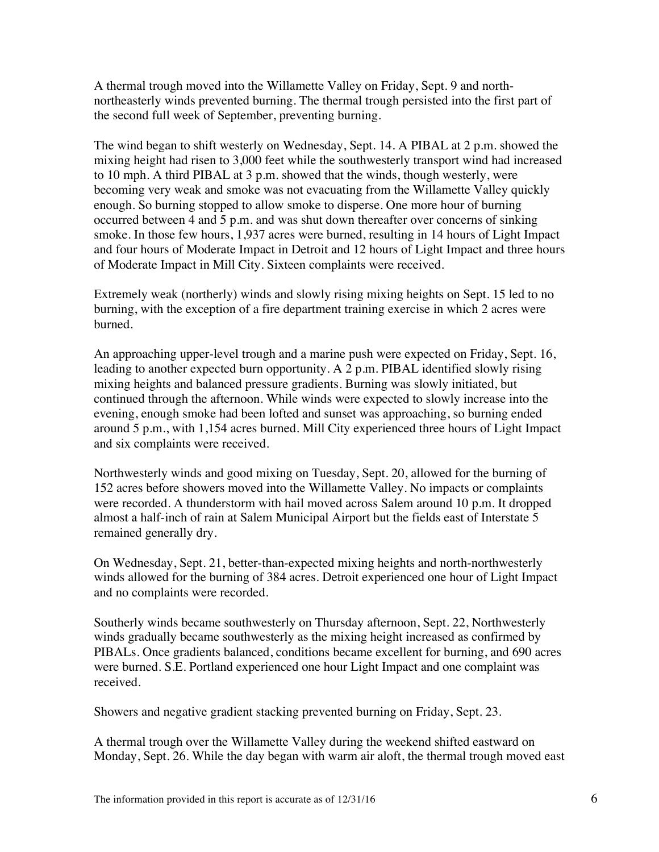A thermal trough moved into the Willamette Valley on Friday, Sept. 9 and northnortheasterly winds prevented burning. The thermal trough persisted into the first part of the second full week of September, preventing burning.

The wind began to shift westerly on Wednesday, Sept. 14. A PIBAL at 2 p.m. showed the mixing height had risen to 3,000 feet while the southwesterly transport wind had increased to 10 mph. A third PIBAL at 3 p.m. showed that the winds, though westerly, were becoming very weak and smoke was not evacuating from the Willamette Valley quickly enough. So burning stopped to allow smoke to disperse. One more hour of burning occurred between 4 and 5 p.m. and was shut down thereafter over concerns of sinking smoke. In those few hours, 1,937 acres were burned, resulting in 14 hours of Light Impact and four hours of Moderate Impact in Detroit and 12 hours of Light Impact and three hours of Moderate Impact in Mill City. Sixteen complaints were received.

Extremely weak (northerly) winds and slowly rising mixing heights on Sept. 15 led to no burning, with the exception of a fire department training exercise in which 2 acres were burned.

An approaching upper-level trough and a marine push were expected on Friday, Sept. 16, leading to another expected burn opportunity. A 2 p.m. PIBAL identified slowly rising mixing heights and balanced pressure gradients. Burning was slowly initiated, but continued through the afternoon. While winds were expected to slowly increase into the evening, enough smoke had been lofted and sunset was approaching, so burning ended around 5 p.m., with 1,154 acres burned. Mill City experienced three hours of Light Impact and six complaints were received.

Northwesterly winds and good mixing on Tuesday, Sept. 20, allowed for the burning of 152 acres before showers moved into the Willamette Valley. No impacts or complaints were recorded. A thunderstorm with hail moved across Salem around 10 p.m. It dropped almost a half-inch of rain at Salem Municipal Airport but the fields east of Interstate 5 remained generally dry.

On Wednesday, Sept. 21, better-than-expected mixing heights and north-northwesterly winds allowed for the burning of 384 acres. Detroit experienced one hour of Light Impact and no complaints were recorded.

Southerly winds became southwesterly on Thursday afternoon, Sept. 22, Northwesterly winds gradually became southwesterly as the mixing height increased as confirmed by PIBALs. Once gradients balanced, conditions became excellent for burning, and 690 acres were burned. S.E. Portland experienced one hour Light Impact and one complaint was received.

Showers and negative gradient stacking prevented burning on Friday, Sept. 23.

A thermal trough over the Willamette Valley during the weekend shifted eastward on Monday, Sept. 26. While the day began with warm air aloft, the thermal trough moved east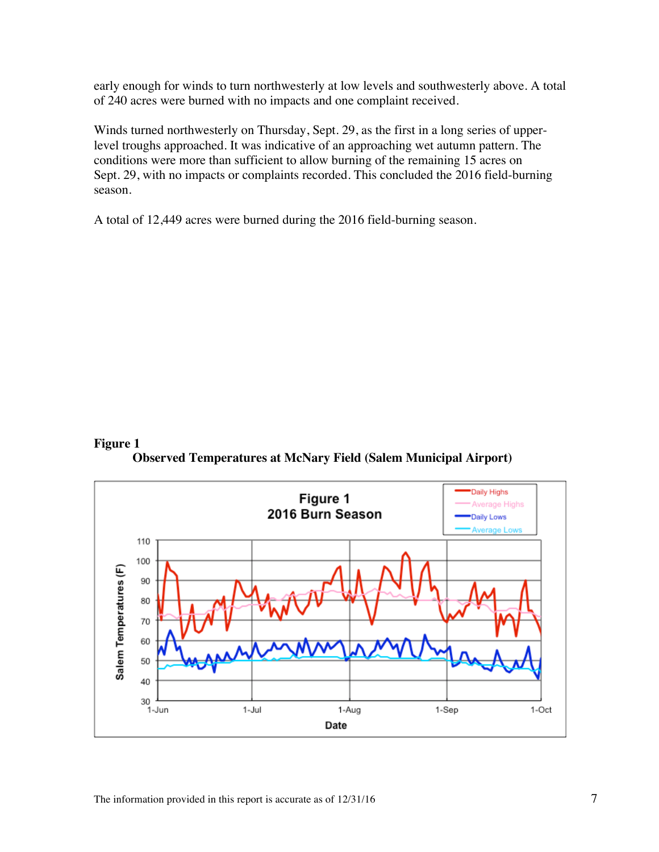early enough for winds to turn northwesterly at low levels and southwesterly above. A total of 240 acres were burned with no impacts and one complaint received.

Winds turned northwesterly on Thursday, Sept. 29, as the first in a long series of upperlevel troughs approached. It was indicative of an approaching wet autumn pattern. The conditions were more than sufficient to allow burning of the remaining 15 acres on Sept. 29, with no impacts or complaints recorded. This concluded the 2016 field-burning season.

A total of 12,449 acres were burned during the 2016 field-burning season.

#### **Figure 1**

**Observed Temperatures at McNary Field (Salem Municipal Airport)**

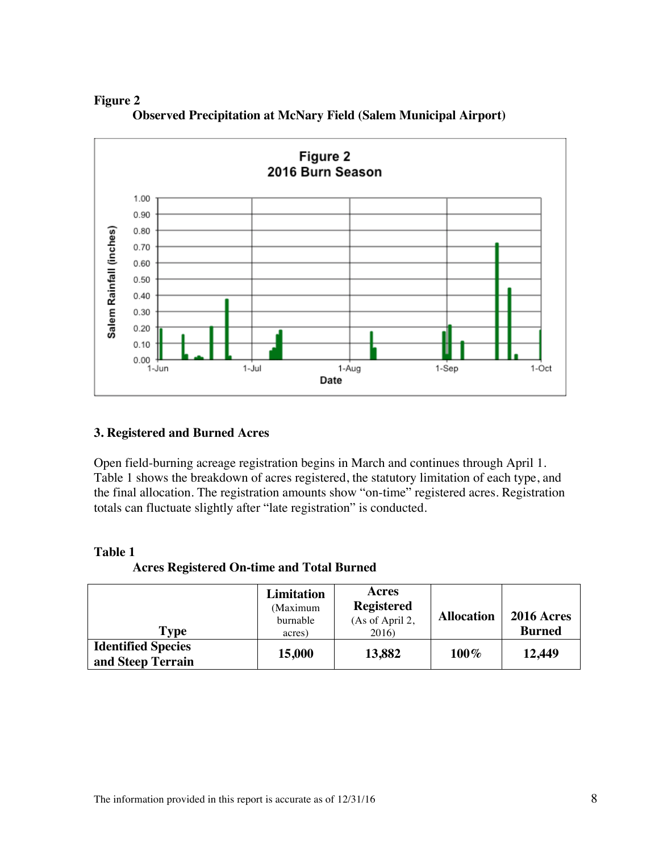

**Figure 2 Observed Precipitation at McNary Field (Salem Municipal Airport)**

#### **3. Registered and Burned Acres**

Open field-burning acreage registration begins in March and continues through April 1. Table 1 shows the breakdown of acres registered, the statutory limitation of each type, and the final allocation. The registration amounts show "on-time" registered acres. Registration totals can fluctuate slightly after "late registration" is conducted.

#### **Table 1**

**Acres Registered On-time and Total Burned**

| <b>Type</b>                                    | <b>Limitation</b><br>(Maximum<br>burnable<br>acres) | Acres<br><b>Registered</b><br>(As of April 2,<br>2016) | <b>Allocation</b> | <b>2016 Acres</b><br><b>Burned</b> |
|------------------------------------------------|-----------------------------------------------------|--------------------------------------------------------|-------------------|------------------------------------|
| <b>Identified Species</b><br>and Steep Terrain | 15,000                                              | 13,882                                                 | 100%              | 12,449                             |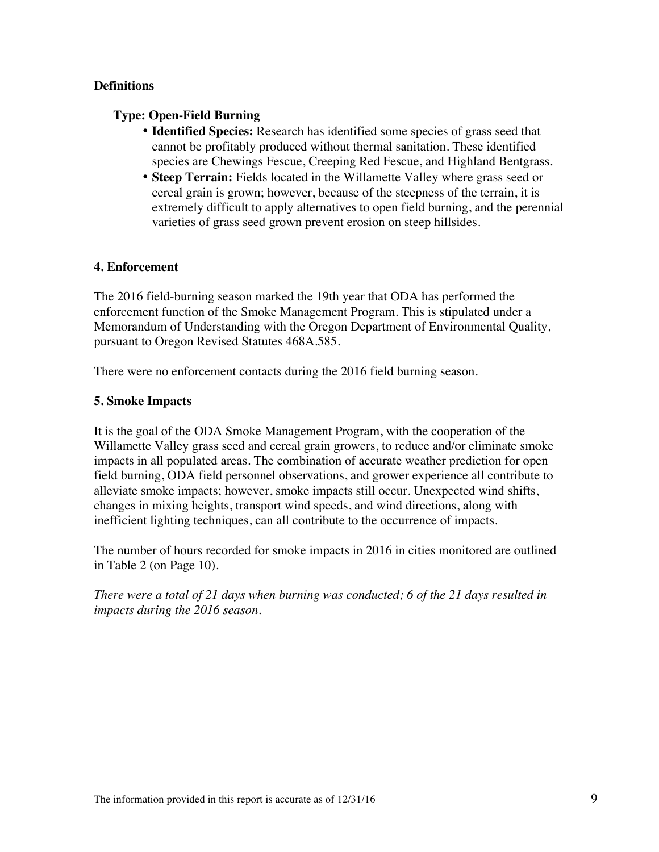#### **Definitions**

#### **Type: Open-Field Burning**

- **Identified Species:** Research has identified some species of grass seed that cannot be profitably produced without thermal sanitation. These identified species are Chewings Fescue, Creeping Red Fescue, and Highland Bentgrass.
- **Steep Terrain:** Fields located in the Willamette Valley where grass seed or cereal grain is grown; however, because of the steepness of the terrain, it is extremely difficult to apply alternatives to open field burning, and the perennial varieties of grass seed grown prevent erosion on steep hillsides.

#### **4. Enforcement**

The 2016 field-burning season marked the 19th year that ODA has performed the enforcement function of the Smoke Management Program. This is stipulated under a Memorandum of Understanding with the Oregon Department of Environmental Quality, pursuant to Oregon Revised Statutes 468A.585.

There were no enforcement contacts during the 2016 field burning season.

#### **5. Smoke Impacts**

It is the goal of the ODA Smoke Management Program, with the cooperation of the Willamette Valley grass seed and cereal grain growers, to reduce and/or eliminate smoke impacts in all populated areas. The combination of accurate weather prediction for open field burning, ODA field personnel observations, and grower experience all contribute to alleviate smoke impacts; however, smoke impacts still occur. Unexpected wind shifts, changes in mixing heights, transport wind speeds, and wind directions, along with inefficient lighting techniques, can all contribute to the occurrence of impacts.

The number of hours recorded for smoke impacts in 2016 in cities monitored are outlined in Table 2 (on Page 10).

*There were a total of 21 days when burning was conducted; 6 of the 21 days resulted in impacts during the 2016 season.*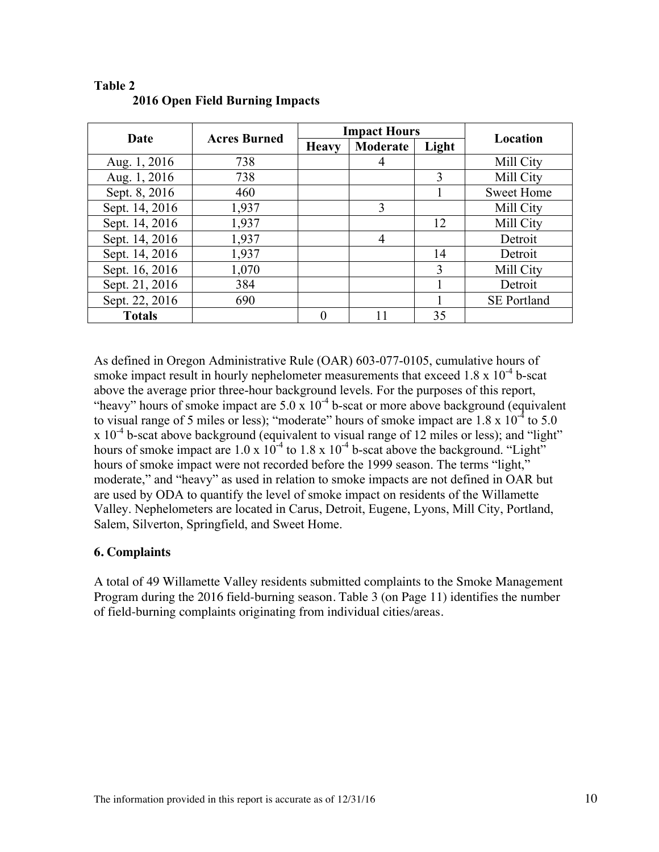| Date           | <b>Acres Burned</b> | <b>Impact Hours</b> |          |       | Location           |  |
|----------------|---------------------|---------------------|----------|-------|--------------------|--|
|                |                     | <b>Heavy</b>        | Moderate | Light |                    |  |
| Aug. 1, 2016   | 738                 |                     |          |       | Mill City          |  |
| Aug. 1, 2016   | 738                 |                     |          | 3     | Mill City          |  |
| Sept. 8, 2016  | 460                 |                     |          |       | <b>Sweet Home</b>  |  |
| Sept. 14, 2016 | 1,937               |                     | 3        |       | Mill City          |  |
| Sept. 14, 2016 | 1,937               |                     |          | 12    | Mill City          |  |
| Sept. 14, 2016 | 1,937               |                     | 4        |       | Detroit            |  |
| Sept. 14, 2016 | 1,937               |                     |          | 14    | Detroit            |  |
| Sept. 16, 2016 | 1,070               |                     |          | 3     | Mill City          |  |
| Sept. 21, 2016 | 384                 |                     |          |       | Detroit            |  |
| Sept. 22, 2016 | 690                 |                     |          |       | <b>SE Portland</b> |  |
| <b>Totals</b>  |                     | $\Omega$            | 11       | 35    |                    |  |

#### **Table 2 2016 Open Field Burning Impacts**

As defined in Oregon Administrative Rule (OAR) 603-077-0105, cumulative hours of smoke impact result in hourly nephelometer measurements that exceed  $1.8 \times 10^{-4}$  b-scat above the average prior three-hour background levels. For the purposes of this report, "heavy" hours of smoke impact are  $5.0 \times 10^{-4}$  b-scat or more above background (equivalent to visual range of 5 miles or less); "moderate" hours of smoke impact are  $1.8 \times 10^{-4}$  to  $5.0$  $x 10^{-4}$  b-scat above background (equivalent to visual range of 12 miles or less); and "light" hours of smoke impact are  $1.0 \times 10^{-4}$  to  $1.8 \times 10^{-4}$  b-scat above the background. "Light" hours of smoke impact were not recorded before the 1999 season. The terms "light," moderate," and "heavy" as used in relation to smoke impacts are not defined in OAR but are used by ODA to quantify the level of smoke impact on residents of the Willamette Valley. Nephelometers are located in Carus, Detroit, Eugene, Lyons, Mill City, Portland, Salem, Silverton, Springfield, and Sweet Home.

#### **6. Complaints**

A total of 49 Willamette Valley residents submitted complaints to the Smoke Management Program during the 2016 field-burning season. Table 3 (on Page 11) identifies the number of field-burning complaints originating from individual cities/areas.